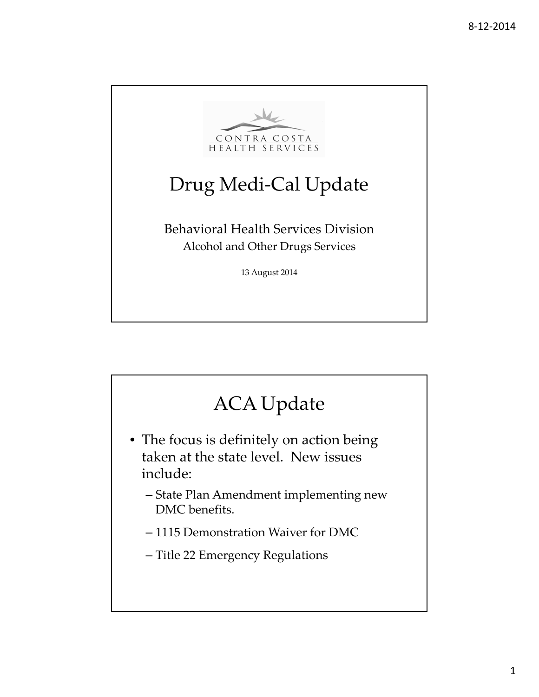

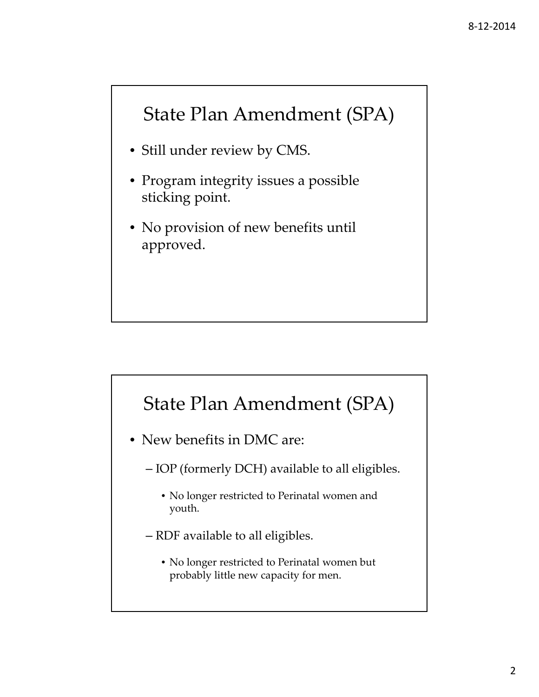#### State Plan Amendment (SPA)

- Still under review by CMS.
- Program integrity issues a possible sticking point.
- No provision of new benefits until approved.

#### State Plan Amendment (SPA)

- New benefits in DMC are:
	- IOP (formerly DCH) available to all eligibles.
		- No longer restricted to Perinatal women and youth.
	- RDF available to all eligibles.
		- No longer restricted to Perinatal women but probably little new capacity for men.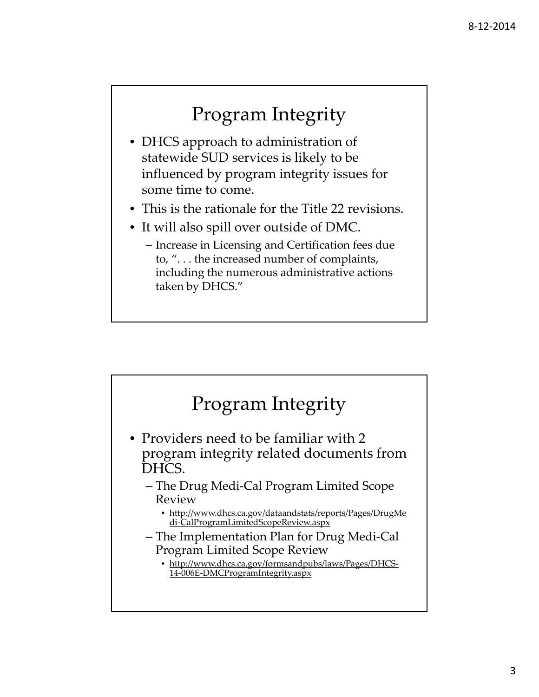# Program Integrity

- DHCS approach to administration of statewide SUD services is likely to be influenced by program integrity issues for some time to come.
- This is the rationale for the Title 22 revisions.
- It will also spill over outside of DMC.
	- Increase in Licensing and Certification fees due to, ". . . the increased number of complaints, including the numerous administrative actions taken by DHCS."

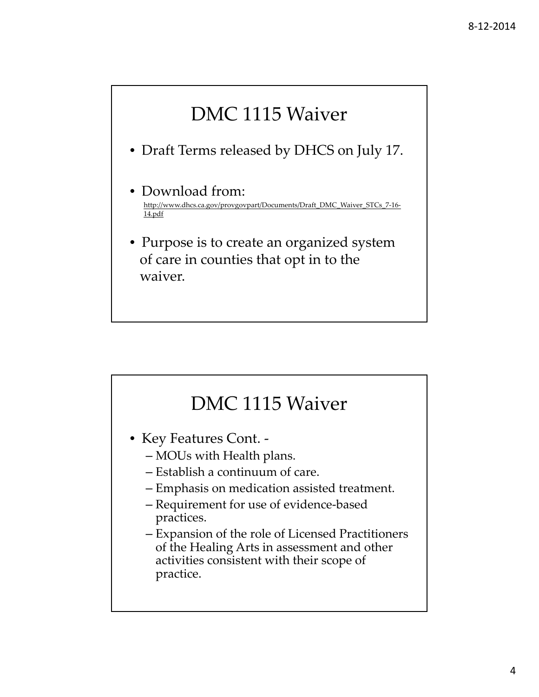# DMC 1115 Waiver

- Draft Terms released by DHCS on July 17.
- Download from: http://www.dhcs.ca.gov/provgovpart/Documents/Draft\_DMC\_Waiver\_STCs\_7-16-14.pdf
- Purpose is to create an organized system of care in counties that opt in to the waiver.

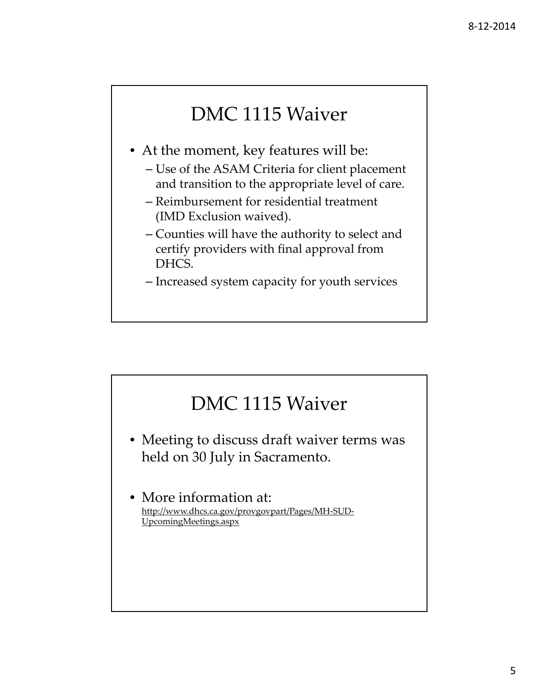# DMC 1115 Waiver

- At the moment, key features will be:
	- Use of the ASAM Criteria for client placement and transition to the appropriate level of care.
	- Reimbursement for residential treatment (IMD Exclusion waived).
	- Counties will have the authority to select and certify providers with final approval from DHCS.
	- Increased system capacity for youth services

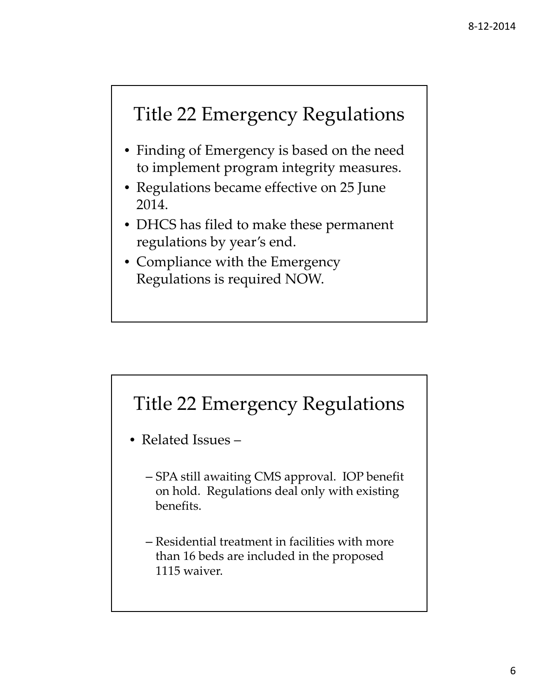#### Title 22 Emergency Regulations

- Finding of Emergency is based on the need to implement program integrity measures.
- Regulations became effective on 25 June 2014.
- DHCS has filed to make these permanent regulations by year's end.
- Compliance with the Emergency Regulations is required NOW.

#### Title 22 Emergency Regulations

- Related Issues
	- SPA still awaiting CMS approval. IOP benefit on hold. Regulations deal only with existing benefits.
	- Residential treatment in facilities with more than 16 beds are included in the proposed 1115 waiver.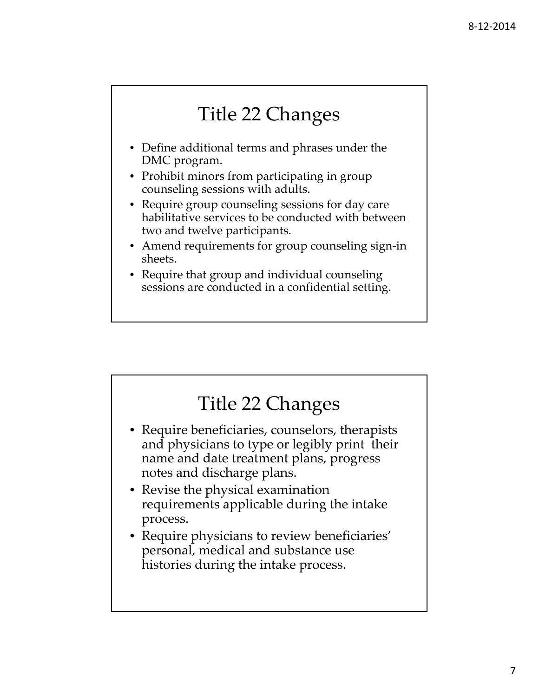# Title 22 Changes

- Define additional terms and phrases under the DMC program.
- Prohibit minors from participating in group counseling sessions with adults.
- Require group counseling sessions for day care habilitative services to be conducted with between two and twelve participants.
- Amend requirements for group counseling sign-in sheets.
- Require that group and individual counseling sessions are conducted in a confidential setting.

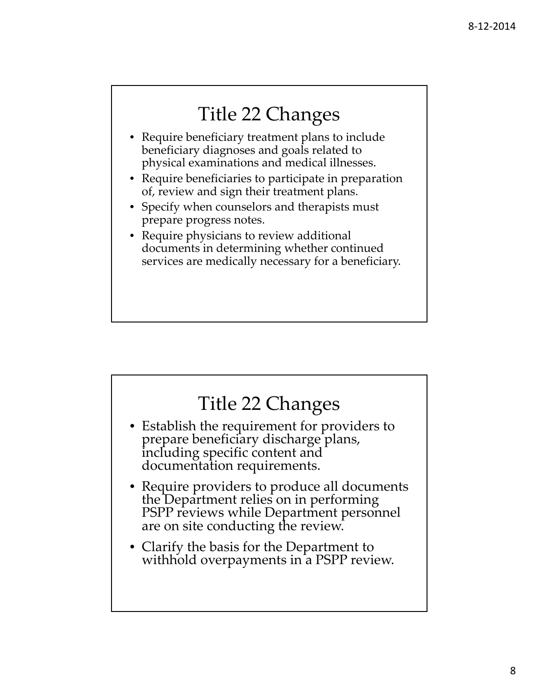#### Title 22 Changes

- Require beneficiary treatment plans to include beneficiary diagnoses and goals related to physical examinations and medical illnesses.
- Require beneficiaries to participate in preparation of, review and sign their treatment plans.
- Specify when counselors and therapists must prepare progress notes.
- Require physicians to review additional documents in determining whether continued services are medically necessary for a beneficiary.

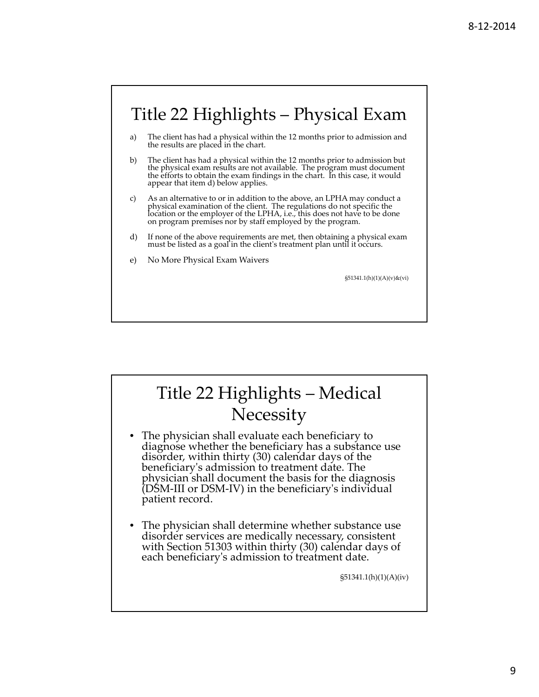

# Title 22 Highlights – Medical **Necessity**

- The physician shall evaluate each beneficiary to diagnose whether the beneficiary has a substance use disorder, within thirty (30) calendar days of the beneficiaryʹs admission to treatment date. The physician shall document the basis for the diagnosis (DSM‐III or DSM‐IV) in the beneficiaryʹ<sup>s</sup> individual patient record.
- The physician shall determine whether substance use disorder services are medically necessary, consistent with Section 51303 within thirty (30) calendar days of each beneficiaryʹs admission to treatment date.

§51341.1(h)(1)(A)(iv)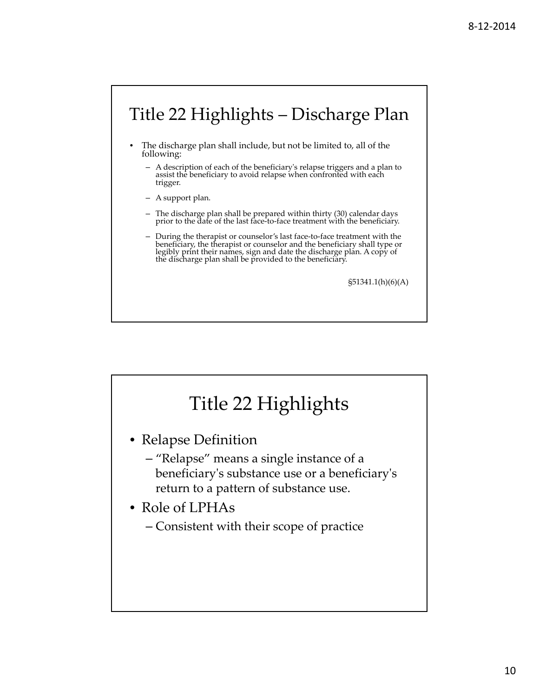# Title 22 Highlights – Discharge Plan

- The discharge plan shall include, but not be limited to, all of the following:
	- A description of each of the beneficiaryʹs relapse triggers and a plan to assist the beneficiary to avoid relapse when confronted with each trigger.
	- A support plan.
	- The discharge plan shall be prepared within thirty (30) calendar days prior to the date of the last face-to-face treatment with the beneficiary.
	- During the therapist or counselor's last face‐to‐face treatment with the beneficiary, the therapist or counselor and the beneficiary shall type or legibly print their names, sign and date the discharge plan. A copy of the discharge plan shall be provided to the beneficiary.

§51341.1(h)(6)(A)

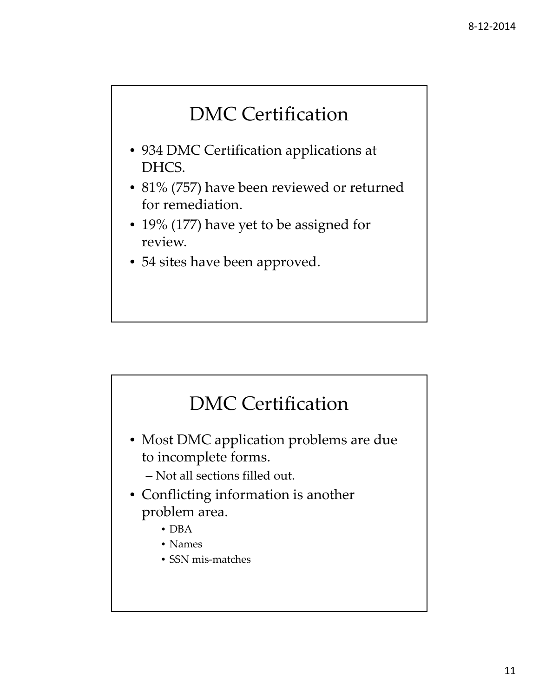# DMC Certification

- 934 DMC Certification applications at DHCS.
- 81% (757) have been reviewed or returned for remediation.
- 19% (177) have yet to be assigned for review.
- 54 sites have been approved.

# DMC Certification

- Most DMC application problems are due to incomplete forms.
	- Not all sections filled out.
- Conflicting information is another problem area.
	- DBA
	- Names
	- SSN mis-matches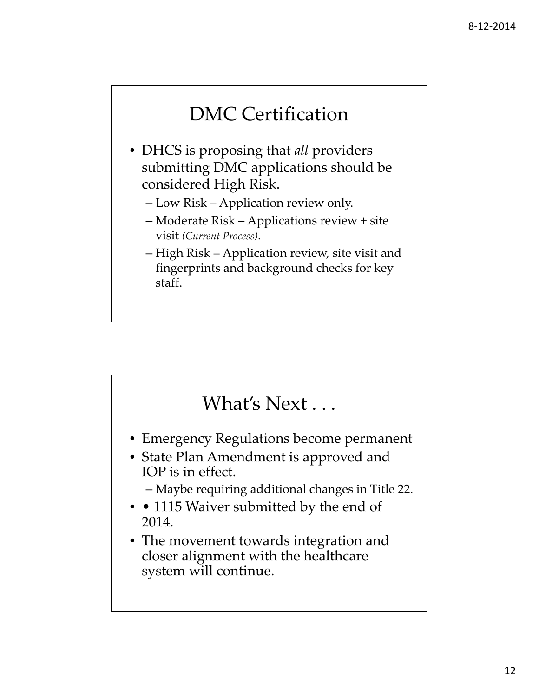#### DMC Certification

- DHCS is proposing that *all* providers submitting DMC applications should be considered High Risk.
	- Low Risk Application review only.
	- Moderate Risk Applications review + site visit *(Current Process)*.
	- High Risk Application review, site visit and fingerprints and background checks for key staff.